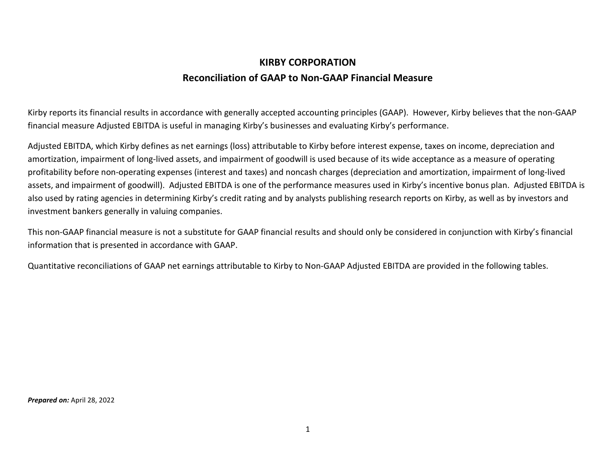## **KIRBY CORPORATION Reconciliation of GAAP to Non-GAAP Financial Measure**

Kirby reports its financial results in accordance with generally accepted accounting principles (GAAP). However, Kirby believes that the non-GAAP financial measure Adjusted EBITDA is useful in managing Kirby's businesses and evaluating Kirby's performance.

Adjusted EBITDA, which Kirby defines as net earnings (loss) attributable to Kirby before interest expense, taxes on income, depreciation and amortization, impairment of long-lived assets, and impairment of goodwill is used because of its wide acceptance as a measure of operating profitability before non-operating expenses (interest and taxes) and noncash charges (depreciation and amortization, impairment of long-lived assets, and impairment of goodwill). Adjusted EBITDA is one of the performance measures used in Kirby's incentive bonus plan. Adjusted EBITDA is also used by rating agencies in determining Kirby's credit rating and by analysts publishing research reports on Kirby, as well as by investors and investment bankers generally in valuing companies.

This non-GAAP financial measure is not a substitute for GAAP financial results and should only be considered in conjunction with Kirby's financial information that is presented in accordance with GAAP.

Quantitative reconciliations of GAAP net earnings attributable to Kirby to Non-GAAP Adjusted EBITDA are provided in the following tables.

*Prepared on:* April 28, 2022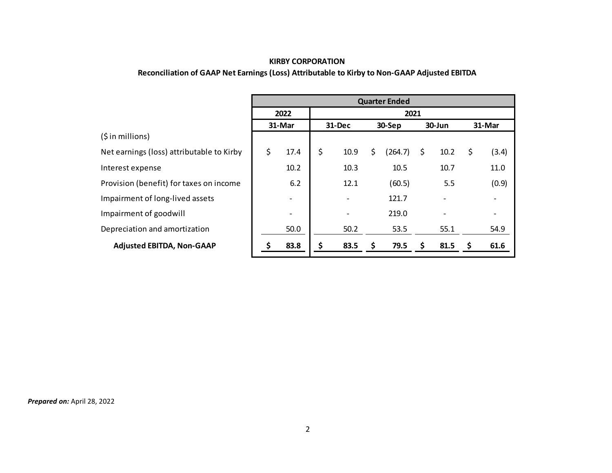## **KIRBY CORPORATION**

## **Reconciliation of GAAP Net Earnings (Loss) Attributable to Kirby to Non-GAAP Adjusted EBITDA**

|                                           |        |                          | <b>Quarter Ended</b> |                          |        |         |        |      |        |       |  |
|-------------------------------------------|--------|--------------------------|----------------------|--------------------------|--------|---------|--------|------|--------|-------|--|
|                                           | 2022   |                          | 2021                 |                          |        |         |        |      |        |       |  |
|                                           | 31-Mar |                          | <b>31-Dec</b>        |                          | 30-Sep |         | 30-Jun |      | 31-Mar |       |  |
| (5 in millions)                           |        |                          |                      |                          |        |         |        |      |        |       |  |
| Net earnings (loss) attributable to Kirby | \$     | 17.4                     | \$                   | 10.9                     | \$     | (264.7) | \$     | 10.2 | \$     | (3.4) |  |
| Interest expense                          |        | 10.2                     |                      | 10.3                     |        | 10.5    |        | 10.7 |        | 11.0  |  |
| Provision (benefit) for taxes on income   |        | 6.2                      |                      | 12.1                     |        | (60.5)  |        | 5.5  |        | (0.9) |  |
| Impairment of long-lived assets           |        | $\overline{\phantom{a}}$ |                      | $\overline{\phantom{a}}$ |        | 121.7   |        |      |        |       |  |
| Impairment of goodwill                    |        | $\overline{\phantom{a}}$ |                      |                          |        | 219.0   |        |      |        |       |  |
| Depreciation and amortization             |        | 50.0                     |                      | 50.2                     |        | 53.5    |        | 55.1 |        | 54.9  |  |
| <b>Adjusted EBITDA, Non-GAAP</b>          |        | 83.8                     | \$                   | 83.5                     | S      | 79.5    | \$     | 81.5 | S      | 61.6  |  |

*Prepared on:* April 28, 2022